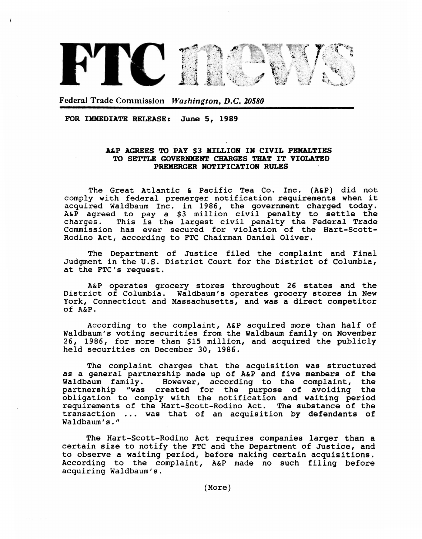

Federal Trade Commission *Washington, D.C. 20580* 

FOR IMMEDIATE RELEASE: June 5, 1989

## A&P AGREES TO PAY \$3 KILLION IN CIVIL PENALTIES TO SETTLE GOVERNMENT CHARGES THAT IT VIOLATED PREMERGER NOTIFICATION RULES

The Great Atlantic & Pacific Tea Co. Inc. (A&P) did not comply with federal premerger notification requirements when it acquired Waldbaum Inc. in 1986, the government charged today. A&P agreed to pay a \$3 million civil penalty to settle the Aur agreed to pay a 33 million civil penalty to sectic the<br>charges. This is the largest civil penalty the Federal Trade Commission has ever secured for violation of the Hart-Scott-Rodino Act, according to FTC Chairman Daniel Oliver.

The Department of Justice filed the complaint and Final Judgment in the U.S. District Court for the District of Columbia, at the FTC's request.

A&P operates grocery stores throughout 26 states and the District of Columbia. Waldbaum's operates grocery stores in New York, Connecticut and Massachusetts, and was a direct competitor of A&P.

According to the complaint, A&P acquired more than half of Waldbaum's voting securities from the Waldbaum family on November 26, 1986, for more than \$15 million, and acquired the publicly held securities on December 30, 1986.

The complaint charges that the acquisition was structured as a general partnership made up of A&P and five members of the<br>Waldbaum family. However, according to the complaint, the Waldbaum family. However, according to the complaint, the partnership "was created for the purpose of avoiding the "was created for the purpose of avoiding the obligation to comply with the notification and waiting period requirements of the Hart-Scott-Rodino Act. The substance of the transaction ... was that of an acquisition by defendants of Waldbaum's."

The Hart-Scott-Rodino Act requires companies larger than a certain size to notify the FTC and the Department of Justice, and to observe a waiting period, before making certain acquisitions. According to the complaint, A&P made no such filing before acquiring Waldbaum's.